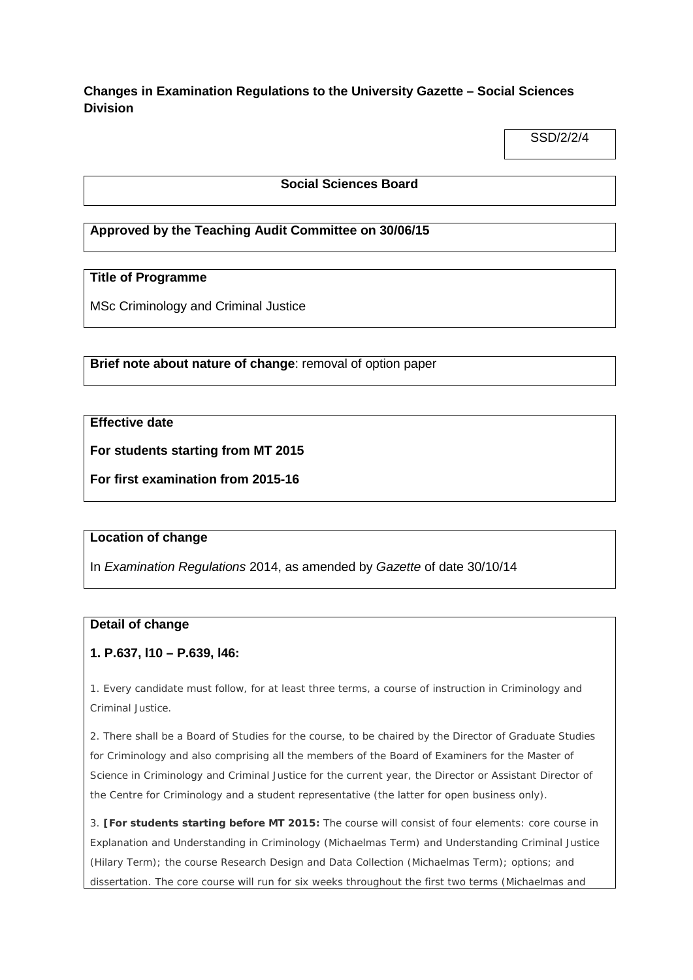## **Changes in Examination Regulations to the University Gazette – Social Sciences Division**

SSD/2/2/4

## **Social Sciences Board**

## **Approved by the Teaching Audit Committee on 30/06/15**

## **Title of Programme**

MSc Criminology and Criminal Justice

**Brief note about nature of change**: removal of option paper

## **Effective date**

**For students starting from MT 2015**

**For first examination from 2015-16**

### **Location of change**

In *Examination Regulations* 2014, as amended by *Gazette* of date 30/10/14

### **Detail of change**

## **1. P.637, l10 – P.639, l46:**

1. Every candidate must follow, for at least three terms, a course of instruction in Criminology and Criminal Justice.

2. There shall be a Board of Studies for the course, to be chaired by the Director of Graduate Studies for Criminology and also comprising all the members of the Board of Examiners for the Master of Science in Criminology and Criminal Justice for the current year, the Director or Assistant Director of the Centre for Criminology and a student representative (the latter for open business only).

3. **[For students starting before MT 2015:** The course will consist of four elements: core course in Explanation and Understanding in Criminology (Michaelmas Term) and Understanding Criminal Justice (Hilary Term); the course Research Design and Data Collection (Michaelmas Term); options; and dissertation. The core course will run for six weeks throughout the first two terms (Michaelmas and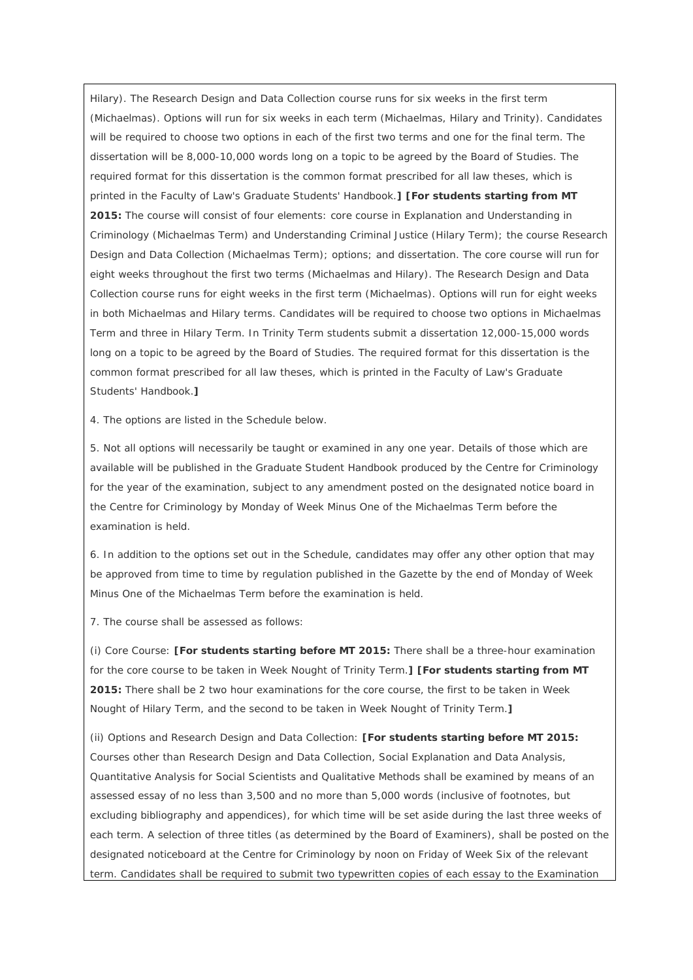Hilary). The Research Design and Data Collection course runs for six weeks in the first term (Michaelmas). Options will run for six weeks in each term (Michaelmas, Hilary and Trinity). Candidates will be required to choose two options in each of the first two terms and one for the final term. The dissertation will be 8,000-10,000 words long on a topic to be agreed by the Board of Studies. The required format for this dissertation is the common format prescribed for all law theses, which is printed in the Faculty of Law's Graduate Students' Handbook.**] [For students starting from MT 2015:** The course will consist of four elements: core course in Explanation and Understanding in Criminology (Michaelmas Term) and Understanding Criminal Justice (Hilary Term); the course Research Design and Data Collection (Michaelmas Term); options; and dissertation. The core course will run for eight weeks throughout the first two terms (Michaelmas and Hilary). The Research Design and Data Collection course runs for eight weeks in the first term (Michaelmas). Options will run for eight weeks in both Michaelmas and Hilary terms. Candidates will be required to choose two options in Michaelmas Term and three in Hilary Term. In Trinity Term students submit a dissertation 12,000-15,000 words long on a topic to be agreed by the Board of Studies. The required format for this dissertation is the common format prescribed for all law theses, which is printed in the Faculty of Law's Graduate Students' Handbook.**]**

4. The options are listed in the Schedule below.

5. Not all options will necessarily be taught or examined in any one year. Details of those which are available will be published in the Graduate Student Handbook produced by the Centre for Criminology for the year of the examination, subject to any amendment posted on the designated notice board in the Centre for Criminology by Monday of Week Minus One of the Michaelmas Term before the examination is held.

6. In addition to the options set out in the Schedule, candidates may offer any other option that may be approved from time to time by regulation published in the *Gazette* by the end of Monday of Week Minus One of the Michaelmas Term before the examination is held.

7. The course shall be assessed as follows:

(i) *Core Course*: **[For students starting before MT 2015:** There shall be a three-hour examination for the core course to be taken in Week Nought of Trinity Term.**] [For students starting from MT 2015:** There shall be 2 two hour examinations for the core course, the first to be taken in Week Nought of Hilary Term, and the second to be taken in Week Nought of Trinity Term.**]**

(ii) *Options and Research Design and Data Collection*: **[For students starting before MT 2015:**  Courses other than Research Design and Data Collection, Social Explanation and Data Analysis, Quantitative Analysis for Social Scientists and Qualitative Methods shall be examined by means of an assessed essay of no less than 3,500 and no more than 5,000 words (inclusive of footnotes, but excluding bibliography and appendices), for which time will be set aside during the last three weeks of each term. A selection of three titles (as determined by the Board of Examiners), shall be posted on the designated noticeboard at the Centre for Criminology by noon on Friday of Week Six of the relevant term. Candidates shall be required to submit two typewritten copies of each essay to the Examination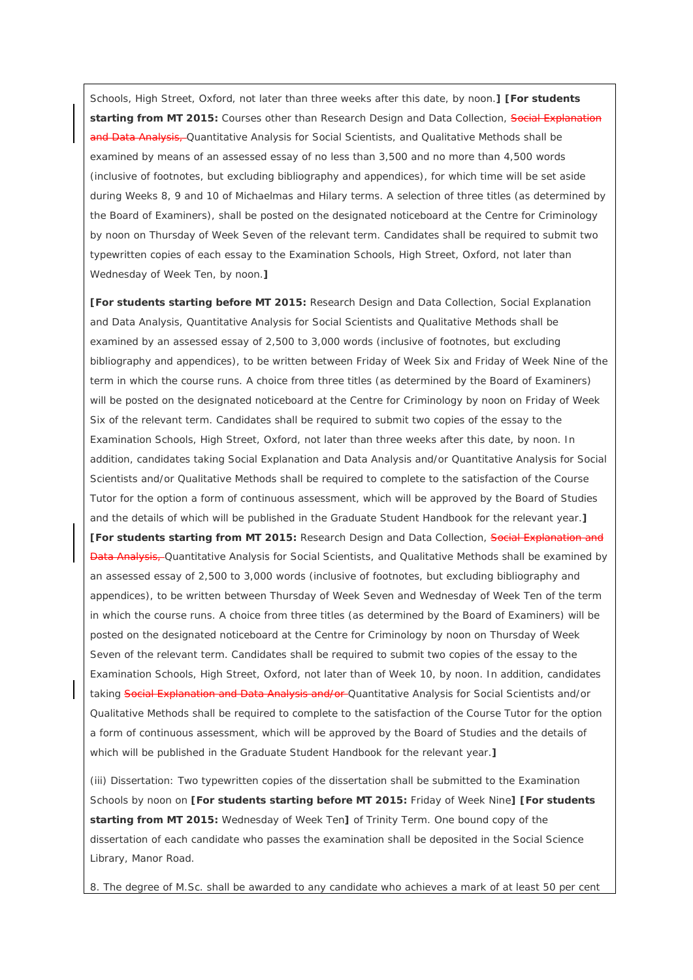Schools, High Street, Oxford, not later than three weeks after this date, by noon.**] [For students**  starting from MT 2015: Courses other than Research Design and Data Collection, Social Explanation and Data Analysis, Quantitative Analysis for Social Scientists, and Qualitative Methods shall be examined by means of an assessed essay of no less than 3,500 and no more than 4,500 words (inclusive of footnotes, but excluding bibliography and appendices), for which time will be set aside during Weeks 8, 9 and 10 of Michaelmas and Hilary terms. A selection of three titles (as determined by the Board of Examiners), shall be posted on the designated noticeboard at the Centre for Criminology by noon on Thursday of Week Seven of the relevant term. Candidates shall be required to submit two typewritten copies of each essay to the Examination Schools, High Street, Oxford, not later than Wednesday of Week Ten, by noon.**]**

**[For students starting before MT 2015:** Research Design and Data Collection, Social Explanation and Data Analysis, Quantitative Analysis for Social Scientists and Qualitative Methods shall be examined by an assessed essay of 2,500 to 3,000 words (inclusive of footnotes, but excluding bibliography and appendices), to be written between Friday of Week Six and Friday of Week Nine of the term in which the course runs. A choice from three titles (as determined by the Board of Examiners) will be posted on the designated noticeboard at the Centre for Criminology by noon on Friday of Week Six of the relevant term. Candidates shall be required to submit two copies of the essay to the Examination Schools, High Street, Oxford, not later than three weeks after this date, by noon. In addition, candidates taking Social Explanation and Data Analysis and/or Quantitative Analysis for Social Scientists and/or Qualitative Methods shall be required to complete to the satisfaction of the Course Tutor for the option a form of continuous assessment, which will be approved by the Board of Studies and the details of which will be published in the Graduate Student Handbook for the relevant year.**] [For students starting from MT 2015:** Research Design and Data Collection, Social Explanation and **Data Analysis, Quantitative Analysis for Social Scientists, and Qualitative Methods shall be examined by** an assessed essay of 2,500 to 3,000 words (inclusive of footnotes, but excluding bibliography and appendices), to be written between Thursday of Week Seven and Wednesday of Week Ten of the term in which the course runs. A choice from three titles (as determined by the Board of Examiners) will be posted on the designated noticeboard at the Centre for Criminology by noon on Thursday of Week Seven of the relevant term. Candidates shall be required to submit two copies of the essay to the Examination Schools, High Street, Oxford, not later than of Week 10, by noon. In addition, candidates taking Social Explanation and Data Analysis and/or-Quantitative Analysis for Social Scientists and/or Qualitative Methods shall be required to complete to the satisfaction of the Course Tutor for the option a form of continuous assessment, which will be approved by the Board of Studies and the details of which will be published in the Graduate Student Handbook for the relevant year.**]**

(iii) *Dissertation*: Two typewritten copies of the dissertation shall be submitted to the Examination Schools by noon on **[For students starting before MT 2015:** Friday of Week Nine**] [For students starting from MT 2015:** Wednesday of Week Ten**]** of Trinity Term. One bound copy of the dissertation of each candidate who passes the examination shall be deposited in the Social Science Library, Manor Road.

8. The degree of M.Sc. shall be awarded to any candidate who achieves a mark of at least 50 per cent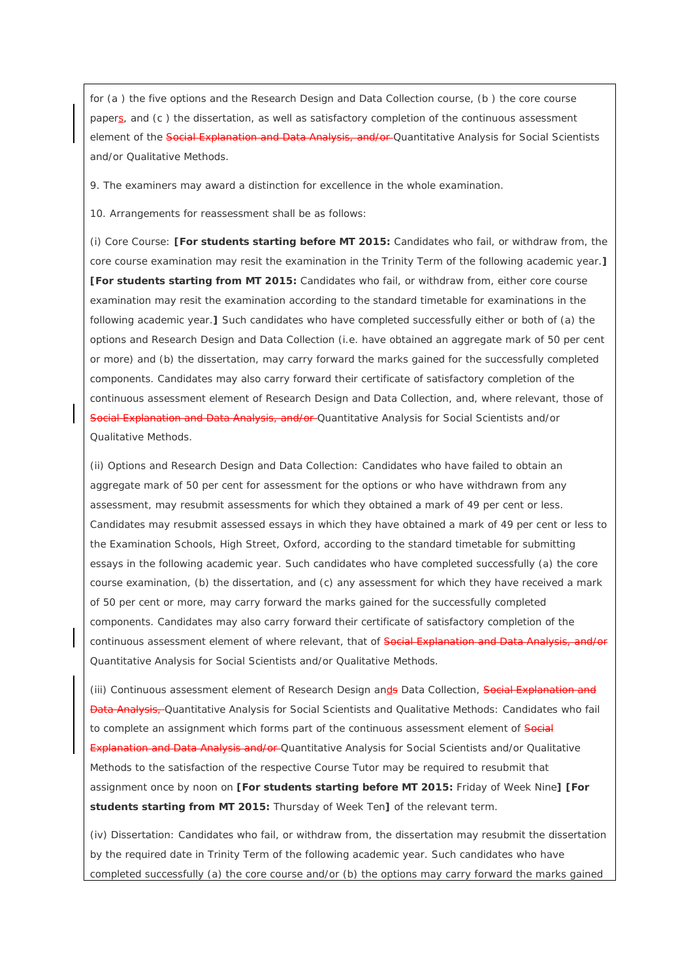for (*a* ) the five options and the Research Design and Data Collection course, (*b* ) the core course papers, and (c) the dissertation, as well as satisfactory completion of the continuous assessment element of the Social Explanation and Data Analysis, and/or Quantitative Analysis for Social Scientists and/or Qualitative Methods.

9. The examiners may award a distinction for excellence in the whole examination.

10. Arrangements for reassessment shall be as follows:

(i) *Core Course*: **[For students starting before MT 2015:** Candidates who fail, or withdraw from, the core course examination may resit the examination in the Trinity Term of the following academic year.**] [For students starting from MT 2015:** Candidates who fail, or withdraw from, either core course examination may resit the examination according to the standard timetable for examinations in the following academic year.**]** Such candidates who have completed successfully either or both of (*a*) the options and Research Design and Data Collection (i.e. have obtained an aggregate mark of 50 per cent or more) and (*b*) the dissertation, may carry forward the marks gained for the successfully completed components. Candidates may also carry forward their certificate of satisfactory completion of the continuous assessment element of Research Design and Data Collection, and, where relevant, those of Social Explanation and Data Analysis, and/or-Quantitative Analysis for Social Scientists and/or Qualitative Methods.

(ii) *Options and Research Design and Data Collection*: Candidates who have failed to obtain an aggregate mark of 50 per cent for assessment for the options or who have withdrawn from any assessment, may resubmit assessments for which they obtained a mark of 49 per cent or less. Candidates may resubmit assessed essays in which they have obtained a mark of 49 per cent or less to the Examination Schools, High Street, Oxford, according to the standard timetable for submitting essays in the following academic year. Such candidates who have completed successfully (*a*) the core course examination, (*b*) the dissertation, and (*c*) any assessment for which they have received a mark of 50 per cent or more, may carry forward the marks gained for the successfully completed components. Candidates may also carry forward their certificate of satisfactory completion of the continuous assessment element of where relevant, that of Social Explanation and Data Analysis, and/or Quantitative Analysis for Social Scientists and/or Qualitative Methods.

(iii) *Continuous assessment element of Research Design ands Data Collection, Social Explanation and Data Analysis, Quantitative Analysis for Social Scientists and Qualitative Methods:* Candidates who fail to complete an assignment which forms part of the continuous assessment element of Social Explanation and Data Analysis and/or Quantitative Analysis for Social Scientists and/or Qualitative Methods to the satisfaction of the respective Course Tutor may be required to resubmit that assignment once by noon on **[For students starting before MT 2015:** Friday of Week Nine**] [For students starting from MT 2015:** Thursday of Week Ten**]** of the relevant term.

(iv) *Dissertation*: Candidates who fail, or withdraw from, the dissertation may resubmit the dissertation by the required date in Trinity Term of the following academic year. Such candidates who have completed successfully (*a*) the core course and/or (*b*) the options may carry forward the marks gained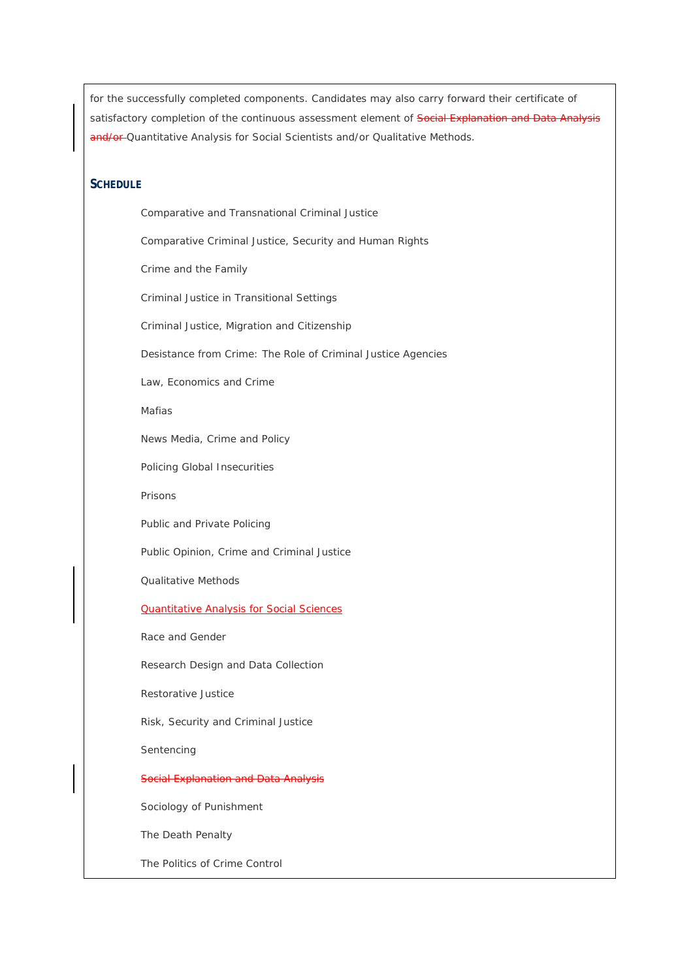for the successfully completed components. Candidates may also carry forward their certificate of satisfactory completion of the continuous assessment element of Social Explanation and Data Analysis and/or-Quantitative Analysis for Social Scientists and/or Qualitative Methods.

#### **SCHEDULE**

Comparative and Transnational Criminal Justice Comparative Criminal Justice, Security and Human Rights Crime and the Family Criminal Justice in Transitional Settings Criminal Justice, Migration and Citizenship Desistance from Crime: The Role of Criminal Justice Agencies Law, Economics and Crime Mafias News Media, Crime and Policy Policing Global Insecurities Prisons Public and Private Policing Public Opinion, Crime and Criminal Justice Qualitative Methods Quantitative Analysis for Social Sciences Race and Gender Research Design and Data Collection Restorative Justice Risk, Security and Criminal Justice Sentencing Social Explanation and Data Analysis Sociology of Punishment The Death Penalty The Politics of Crime Control